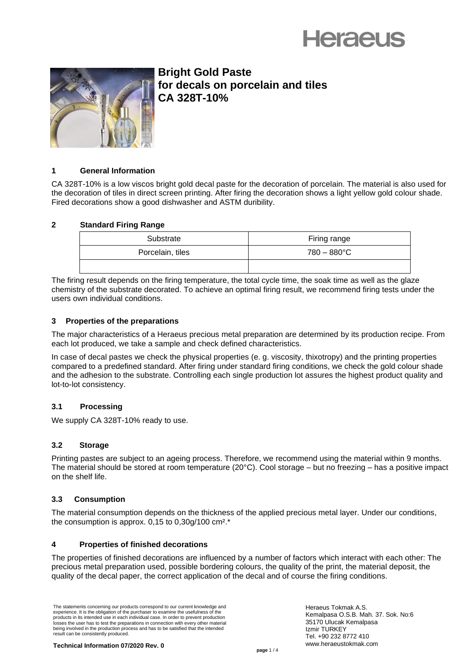



**Bright Gold Paste for decals on porcelain and tiles CA 328T-10%**

# **1 General Information**

CA 328T-10% is a low viscos bright gold decal paste for the decoration of porcelain. The material is also used for the decoration of tiles in direct screen printing. After firing the decoration shows a light yellow gold colour shade. Fired decorations show a good dishwasher and ASTM duribility.

# **2 Standard Firing Range**

| Substrate        | Firing range          |
|------------------|-----------------------|
| Porcelain, tiles | $780 - 880^{\circ}$ C |
|                  |                       |

The firing result depends on the firing temperature, the total cycle time, the soak time as well as the glaze chemistry of the substrate decorated. To achieve an optimal firing result, we recommend firing tests under the users own individual conditions.

## **3 Properties of the preparations**

The major characteristics of a Heraeus precious metal preparation are determined by its production recipe. From each lot produced, we take a sample and check defined characteristics.

In case of decal pastes we check the physical properties (e. g. viscosity, thixotropy) and the printing properties compared to a predefined standard. After firing under standard firing conditions, we check the gold colour shade and the adhesion to the substrate. Controlling each single production lot assures the highest product quality and lot-to-lot consistency.

# **3.1 Processing**

We supply CA 328T-10% ready to use.

### **3.2 Storage**

Printing pastes are subject to an ageing process. Therefore, we recommend using the material within 9 months. The material should be stored at room temperature (20°C). Cool storage – but no freezing – has a positive impact on the shelf life.

# **3.3 Consumption**

The material consumption depends on the thickness of the applied precious metal layer. Under our conditions, the consumption is approx.  $0,15$  to  $0,30g/100$  cm<sup>2</sup>.\*

# **4 Properties of finished decorations**

The properties of finished decorations are influenced by a number of factors which interact with each other: The precious metal preparation used, possible bordering colours, the quality of the print, the material deposit, the quality of the decal paper, the correct application of the decal and of course the firing conditions.

The statements concerning our products correspond to our current knowledge and experience. It is the obligation of the purchaser to examine the usefulness of the products in its intended use in each individual case. In order to prevent production losses the user has to test the preparations in connection with every other material being involved in the production process and has to be satisfied that the intended result can be consistently produced.

Heraeus Tokmak A.S. Kemalpasa O.S.B. Mah. 37. Sok. No:6 35170 Ulucak Kemalpasa Izmir TURKEY Tel. +90 232 8772 410 www.heraeustokmak.com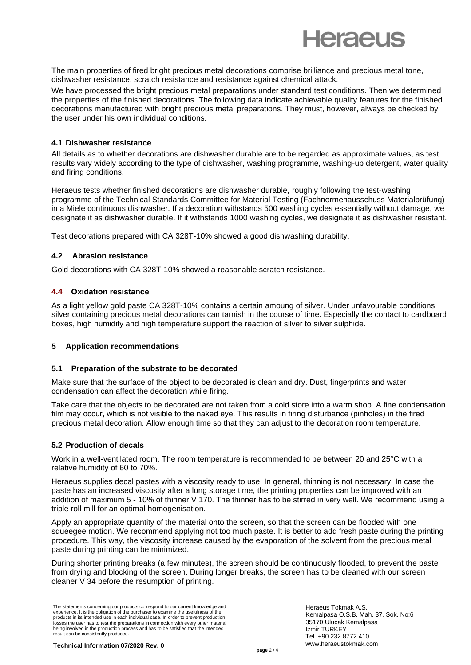

The main properties of fired bright precious metal decorations comprise brilliance and precious metal tone, dishwasher resistance, scratch resistance and resistance against chemical attack.

We have processed the bright precious metal preparations under standard test conditions. Then we determined the properties of the finished decorations. The following data indicate achievable quality features for the finished decorations manufactured with bright precious metal preparations. They must, however, always be checked by the user under his own individual conditions.

## **4.1 Dishwasher resistance**

All details as to whether decorations are dishwasher durable are to be regarded as approximate values, as test results vary widely according to the type of dishwasher, washing programme, washing-up detergent, water quality and firing conditions.

Heraeus tests whether finished decorations are dishwasher durable, roughly following the test-washing programme of the Technical Standards Committee for Material Testing (Fachnormenausschuss Materialprüfung) in a Miele continuous dishwasher. If a decoration withstands 500 washing cycles essentially without damage, we designate it as dishwasher durable. If it withstands 1000 washing cycles, we designate it as dishwasher resistant.

Test decorations prepared with CA 328T-10% showed a good dishwashing durability.

# **4.2 Abrasion resistance**

Gold decorations with CA 328T-10% showed a reasonable scratch resistance.

## **4.4 Oxidation resistance**

As a light yellow gold paste CA 328T-10% contains a certain amoung of silver. Under unfavourable conditions silver containing precious metal decorations can tarnish in the course of time. Especially the contact to cardboard boxes, high humidity and high temperature support the reaction of silver to silver sulphide.

### **5 Application recommendations**

### **5.1 Preparation of the substrate to be decorated**

Make sure that the surface of the object to be decorated is clean and dry. Dust, fingerprints and water condensation can affect the decoration while firing.

Take care that the objects to be decorated are not taken from a cold store into a warm shop. A fine condensation film may occur, which is not visible to the naked eye. This results in firing disturbance (pinholes) in the fired precious metal decoration. Allow enough time so that they can adjust to the decoration room temperature.

### **5.2 Production of decals**

Work in a well-ventilated room. The room temperature is recommended to be between 20 and 25°C with a relative humidity of 60 to 70%.

Heraeus supplies decal pastes with a viscosity ready to use. In general, thinning is not necessary. In case the paste has an increased viscosity after a long storage time, the printing properties can be improved with an addition of maximum 5 - 10% of thinner V 170. The thinner has to be stirred in very well. We recommend using a triple roll mill for an optimal homogenisation.

Apply an appropriate quantity of the material onto the screen, so that the screen can be flooded with one squeegee motion. We recommend applying not too much paste. It is better to add fresh paste during the printing procedure. This way, the viscosity increase caused by the evaporation of the solvent from the precious metal paste during printing can be minimized.

During shorter printing breaks (a few minutes), the screen should be continuously flooded, to prevent the paste from drying and blocking of the screen. During longer breaks, the screen has to be cleaned with our screen cleaner V 34 before the resumption of printing.

The statements concerning our products correspond to our current knowledge and experience. It is the obligation of the purchaser to examine the usefulness of the products in its intended use in each individual case. In order to prevent production losses the user has to test the preparations in connection with every other material being involved in the production process and has to be satisfied that the intended result can be consistently produced.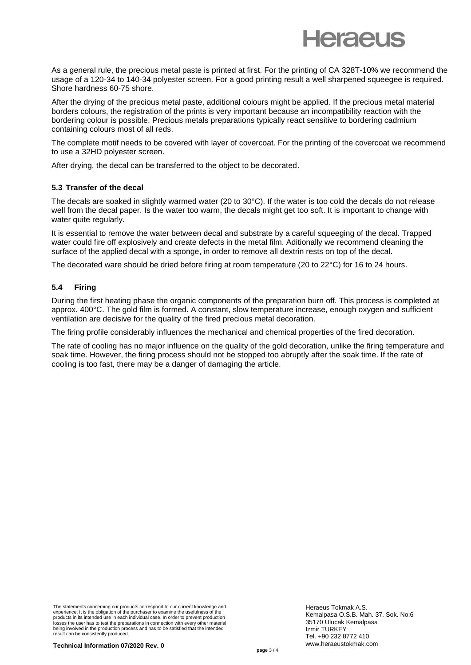

As a general rule, the precious metal paste is printed at first. For the printing of CA 328T-10% we recommend the usage of a 120-34 to 140-34 polyester screen. For a good printing result a well sharpened squeegee is required. Shore hardness 60-75 shore.

After the drying of the precious metal paste, additional colours might be applied. If the precious metal material borders colours, the registration of the prints is very important because an incompatibility reaction with the bordering colour is possible. Precious metals preparations typically react sensitive to bordering cadmium containing colours most of all reds.

The complete motif needs to be covered with layer of covercoat. For the printing of the covercoat we recommend to use a 32HD polyester screen.

After drying, the decal can be transferred to the object to be decorated.

### **5.3 Transfer of the decal**

The decals are soaked in slightly warmed water (20 to 30°C). If the water is too cold the decals do not release well from the decal paper. Is the water too warm, the decals might get too soft. It is important to change with water quite regularly.

It is essential to remove the water between decal and substrate by a careful squeeging of the decal. Trapped water could fire off explosively and create defects in the metal film. Aditionally we recommend cleaning the surface of the applied decal with a sponge, in order to remove all dextrin rests on top of the decal.

The decorated ware should be dried before firing at room temperature (20 to 22°C) for 16 to 24 hours.

## **5.4 Firing**

During the first heating phase the organic components of the preparation burn off. This process is completed at approx. 400°C. The gold film is formed. A constant, slow temperature increase, enough oxygen and sufficient ventilation are decisive for the quality of the fired precious metal decoration.

The firing profile considerably influences the mechanical and chemical properties of the fired decoration.

The rate of cooling has no major influence on the quality of the gold decoration, unlike the firing temperature and soak time. However, the firing process should not be stopped too abruptly after the soak time. If the rate of cooling is too fast, there may be a danger of damaging the article.

The statements concerning our products correspond to our current knowledge and experience. It is the obligation of the purchaser to examine the usefulness of the products in its intended use in each individual case. In order to prevent production losses the user has to test the preparations in connection with every other material being involved in the production process and has to be satisfied that the intended result can be consistently produced.